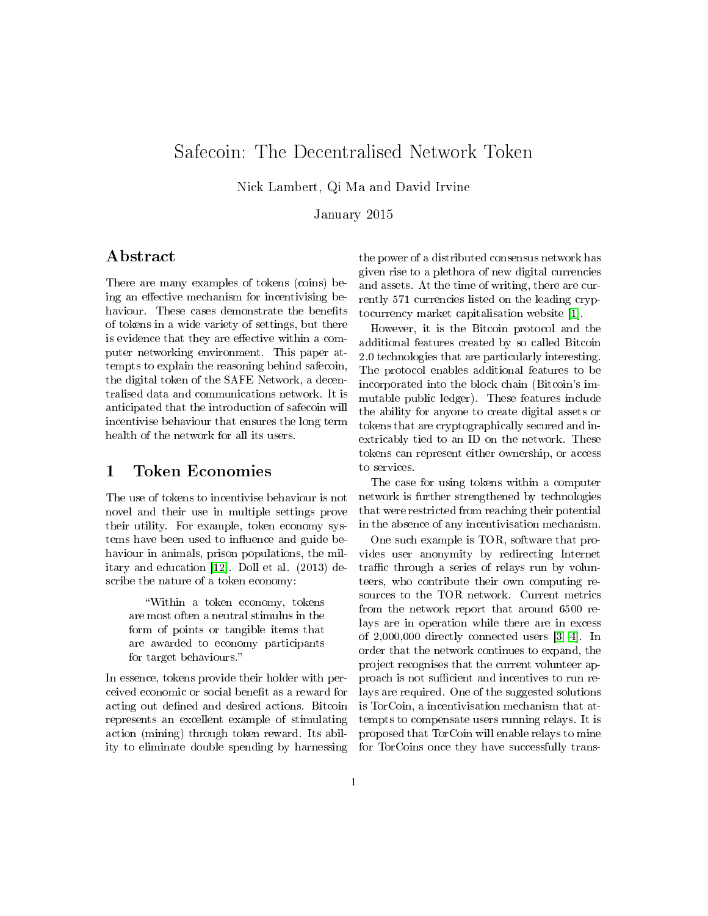# Safecoin: The Decentralised Network Token

Nick Lambert, Qi Ma and David Irvine

January 2015

### Abstract

There are many examples of tokens (coins) being an effective mechanism for incentivising behaviour. These cases demonstrate the benefits of tokens in a wide variety of settings, but there is evidence that they are effective within a computer networking environment. This paper attempts to explain the reasoning behind safecoin, the digital token of the SAFE Network, a decentralised data and communications network. It is anticipated that the introduction of safecoin will incentivise behaviour that ensures the long term health of the network for all its users.

## 1 Token Economies

The use of tokens to incentivise behaviour is not novel and their use in multiple settings prove their utility. For example, token economy systems have been used to influence and guide behaviour in animals, prison populations, the military and education [\[12\]](#page-6-0). Doll et al. (2013) describe the nature of a token economy:

Within a token economy, tokens are most often a neutral stimulus in the form of points or tangible items that are awarded to economy participants for target behaviours.

In essence, tokens provide their holder with perceived economic or social benefit as a reward for acting out defined and desired actions. Bitcoin represents an excellent example of stimulating action (mining) through token reward. Its ability to eliminate double spending by harnessing

the power of a distributed consensus network has given rise to a plethora of new digital currencies and assets. At the time of writing, there are currently 571 currencies listed on the leading cryptocurrency market capitalisation website [\[1\]](#page-6-1).

However, it is the Bitcoin protocol and the additional features created by so called Bitcoin 2.0 technologies that are particularly interesting. The protocol enables additional features to be incorporated into the block chain (Bitcoin's immutable public ledger). These features include the ability for anyone to create digital assets or tokens that are cryptographically secured and inextricably tied to an ID on the network. These tokens can represent either ownership, or access to services.

The case for using tokens within a computer network is further strengthened by technologies that were restricted from reaching their potential in the absence of any incentivisation mechanism.

One such example is TOR, software that provides user anonymity by redirecting Internet traffic through a series of relays run by volunteers, who contribute their own computing resources to the TOR network. Current metrics from the network report that around 6500 relays are in operation while there are in excess of 2,000,000 directly connected users [\[3,](#page-6-2) [4\]](#page-6-3). In order that the network continues to expand, the project recognises that the current volunteer approach is not sufficient and incentives to run relays are required. One of the suggested solutions is TorCoin, a incentivisation mechanism that attempts to compensate users running relays. It is proposed that TorCoin will enable relays to mine for TorCoins once they have successfully trans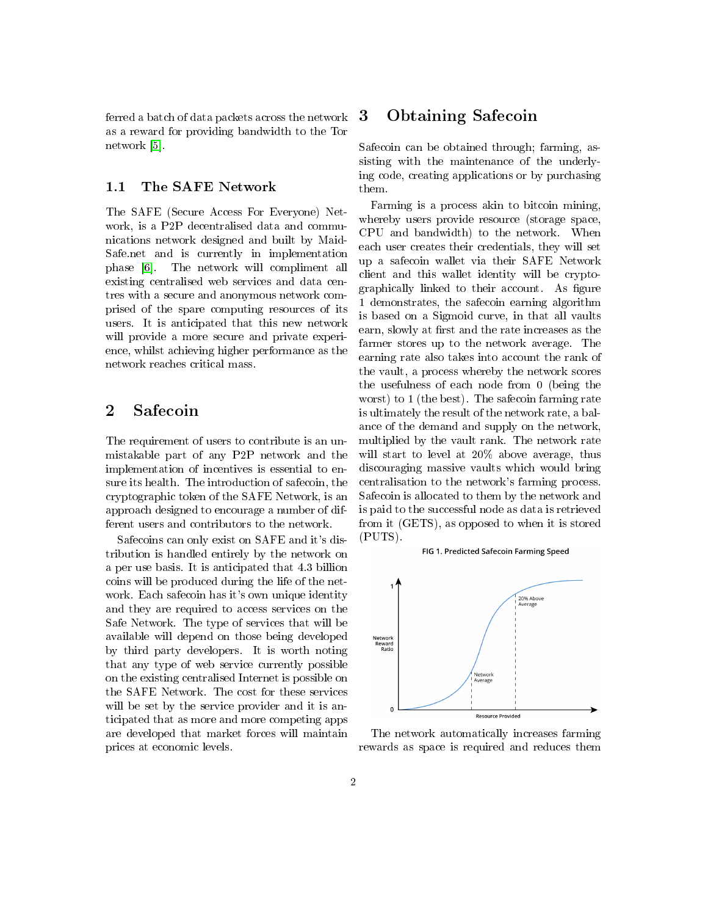ferred a batch of data packets across the network as a reward for providing bandwidth to the Tor network [\[5\]](#page-6-4).

### 1.1 The SAFE Network

The SAFE (Secure Access For Everyone) Network, is a P2P decentralised data and communications network designed and built by Maid-Safe.net and is currently in implementation phase [\[6\]](#page-6-5). The network will compliment all existing centralised web services and data centres with a secure and anonymous network comprised of the spare computing resources of its users. It is anticipated that this new network will provide a more secure and private experience, whilst achieving higher performance as the network reaches critical mass.

### 2 Safecoin

The requirement of users to contribute is an unmistakable part of any P2P network and the implementation of incentives is essential to ensure its health. The introduction of safecoin, the cryptographic token of the SAFE Network, is an approach designed to encourage a number of different users and contributors to the network.

Safecoins can only exist on SAFE and it's distribution is handled entirely by the network on a per use basis. It is anticipated that 4.3 billion coins will be produced during the life of the network. Each safecoin has it's own unique identity and they are required to access services on the Safe Network. The type of services that will be available will depend on those being developed by third party developers. It is worth noting that any type of web service currently possible on the existing centralised Internet is possible on the SAFE Network. The cost for these services will be set by the service provider and it is anticipated that as more and more competing apps are developed that market forces will maintain prices at economic levels.

### 3 Obtaining Safecoin

Safecoin can be obtained through; farming, assisting with the maintenance of the underlying code, creating applications or by purchasing them.

Farming is a process akin to bitcoin mining, whereby users provide resource (storage space, CPU and bandwidth) to the network. When each user creates their credentials, they will set up a safecoin wallet via their SAFE Network client and this wallet identity will be cryptographically linked to their account. As figure 1 demonstrates, the safecoin earning algorithm is based on a Sigmoid curve, in that all vaults earn, slowly at first and the rate increases as the farmer stores up to the network average. The earning rate also takes into account the rank of the vault, a process whereby the network scores the usefulness of each node from 0 (being the worst) to 1 (the best). The safecoin farming rate is ultimately the result of the network rate, a balance of the demand and supply on the network, multiplied by the vault rank. The network rate will start to level at 20% above average, thus discouraging massive vaults which would bring centralisation to the network's farming process. Safecoin is allocated to them by the network and is paid to the successful node as data is retrieved from it (GETS), as opposed to when it is stored (PUTS).

#### FIG 1. Predicted Safecoin Farming Speed



The network automatically increases farming rewards as space is required and reduces them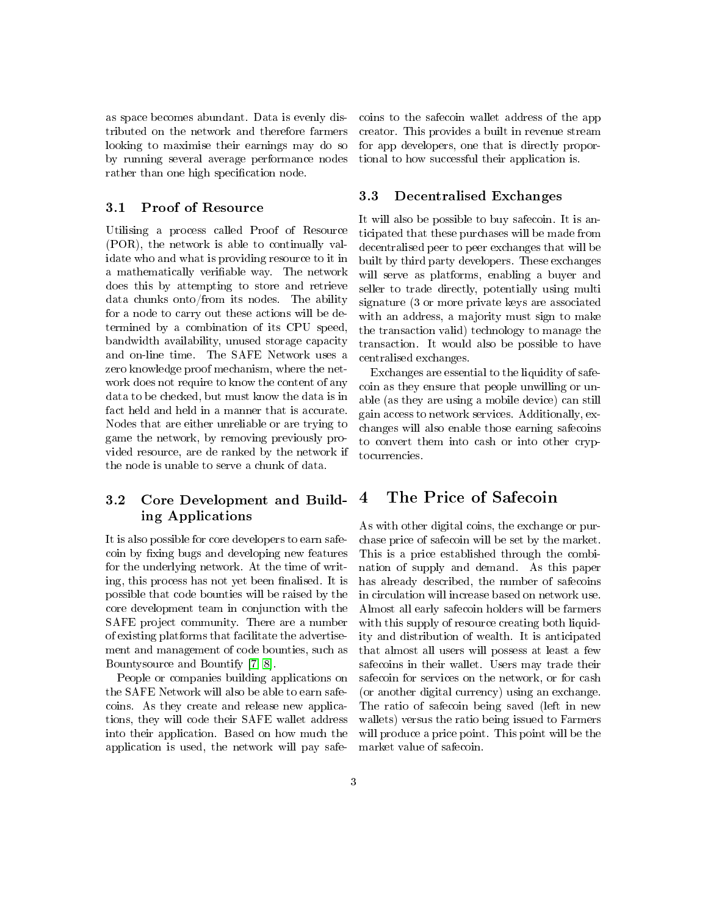as space becomes abundant. Data is evenly distributed on the network and therefore farmers looking to maximise their earnings may do so by running several average performance nodes rather than one high specification node.

#### 3.1 Proof of Resource

Utilising a process called Proof of Resource (POR), the network is able to continually validate who and what is providing resource to it in a mathematically verifiable way. The network does this by attempting to store and retrieve data chunks onto/from its nodes. The ability for a node to carry out these actions will be determined by a combination of its CPU speed, bandwidth availability, unused storage capacity and on-line time. The SAFE Network uses a zero knowledge proof mechanism, where the network does not require to know the content of any data to be checked, but must know the data is in fact held and held in a manner that is accurate. Nodes that are either unreliable or are trying to game the network, by removing previously provided resource, are de ranked by the network if the node is unable to serve a chunk of data.

### 3.2 Core Development and Building Applications

It is also possible for core developers to earn safecoin by fixing bugs and developing new features for the underlying network. At the time of writing, this process has not yet been finalised. It is possible that code bounties will be raised by the core development team in conjunction with the SAFE project community. There are a number of existing platforms that facilitate the advertisement and management of code bounties, such as Bountysource and Bountify [\[7,](#page-6-6) [8\]](#page-6-7).

People or companies building applications on the SAFE Network will also be able to earn safecoins. As they create and release new applications, they will code their SAFE wallet address into their application. Based on how much the application is used, the network will pay safecoins to the safecoin wallet address of the app creator. This provides a built in revenue stream for app developers, one that is directly proportional to how successful their application is.

### 3.3 Decentralised Exchanges

It will also be possible to buy safecoin. It is anticipated that these purchases will be made from decentralised peer to peer exchanges that will be built by third party developers. These exchanges will serve as platforms, enabling a buyer and seller to trade directly, potentially using multi signature (3 or more private keys are associated with an address, a majority must sign to make the transaction valid) technology to manage the transaction. It would also be possible to have centralised exchanges.

Exchanges are essential to the liquidity of safecoin as they ensure that people unwilling or unable (as they are using a mobile device) can still gain access to network services. Additionally, exchanges will also enable those earning safecoins to convert them into cash or into other cryptocurrencies.

## 4 The Price of Safecoin

As with other digital coins, the exchange or purchase price of safecoin will be set by the market. This is a price established through the combination of supply and demand. As this paper has already described, the number of safecoins in circulation will increase based on network use. Almost all early safecoin holders will be farmers with this supply of resource creating both liquidity and distribution of wealth. It is anticipated that almost all users will possess at least a few safecoins in their wallet. Users may trade their safecoin for services on the network, or for cash (or another digital currency) using an exchange. The ratio of safecoin being saved (left in new wallets) versus the ratio being issued to Farmers will produce a price point. This point will be the market value of safecoin.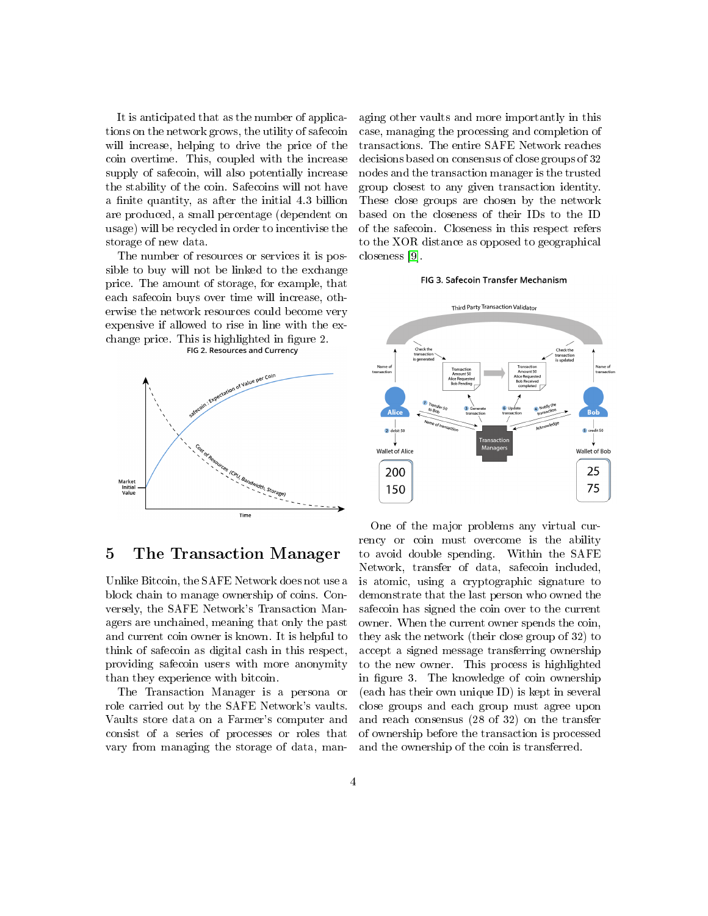It is anticipated that as the number of applications on the network grows, the utility of safecoin will increase, helping to drive the price of the coin overtime. This, coupled with the increase supply of safecoin, will also potentially increase the stability of the coin. Safecoins will not have a finite quantity, as after the initial 4.3 billion are produced, a small percentage (dependent on usage) will be recycled in order to incentivise the storage of new data.

The number of resources or services it is possible to buy will not be linked to the exchange price. The amount of storage, for example, that each safecoin buys over time will increase, otherwise the network resources could become very expensive if allowed to rise in line with the exchange price. This is highlighted in figure 2.<br>FIG 2. Resources and Currency





### 5 The Transaction Manager

Unlike Bitcoin, the SAFE Network does not use a block chain to manage ownership of coins. Conversely, the SAFE Network's Transaction Managers are unchained, meaning that only the past and current coin owner is known. It is helpful to think of safecoin as digital cash in this respect, providing safecoin users with more anonymity than they experience with bitcoin.

The Transaction Manager is a persona or role carried out by the SAFE Network's vaults. Vaults store data on a Farmer's computer and consist of a series of processes or roles that vary from managing the storage of data, managing other vaults and more importantly in this case, managing the processing and completion of transactions. The entire SAFE Network reaches decisions based on consensus of close groups of 32 nodes and the transaction manager is the trusted group closest to any given transaction identity. These close groups are chosen by the network based on the closeness of their IDs to the ID of the safecoin. Closeness in this respect refers to the XOR distance as opposed to geographical closeness [\[9\]](#page-6-8).

#### FIG 3. Safecoin Transfer Mechanism



One of the major problems any virtual currency or coin must overcome is the ability to avoid double spending. Within the SAFE Network, transfer of data, safecoin included, is atomic, using a cryptographic signature to demonstrate that the last person who owned the safecoin has signed the coin over to the current owner. When the current owner spends the coin, they ask the network (their close group of 32) to accept a signed message transferring ownership to the new owner. This process is highlighted in figure 3. The knowledge of coin ownership (each has their own unique ID) is kept in several close groups and each group must agree upon and reach consensus (28 of 32) on the transfer of ownership before the transaction is processed and the ownership of the coin is transferred.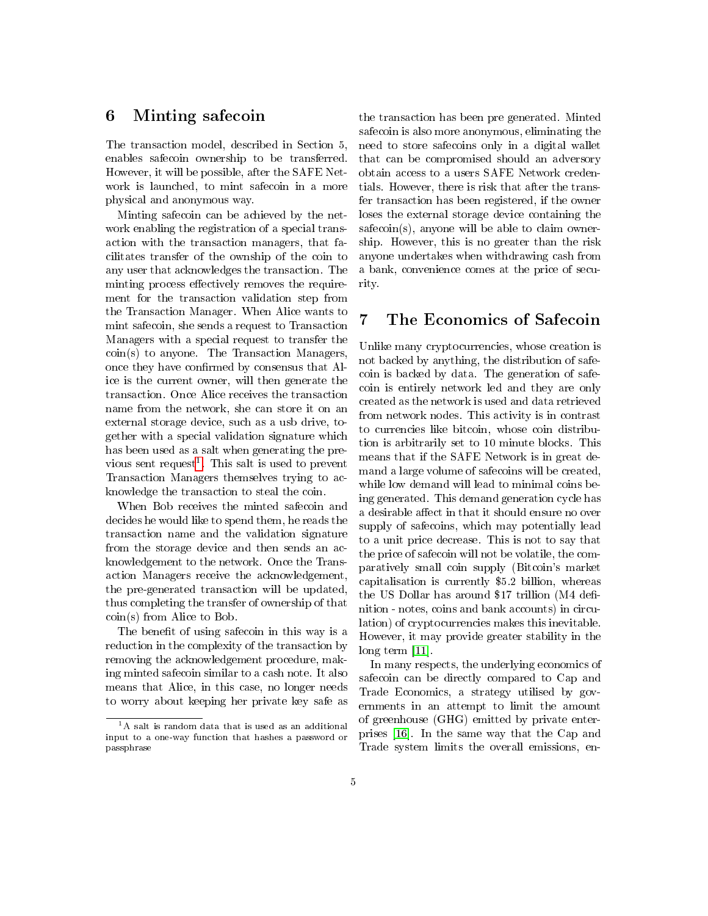### 6 Minting safecoin

The transaction model, described in Section 5, enables safecoin ownership to be transferred. However, it will be possible, after the SAFE Network is launched, to mint safecoin in a more physical and anonymous way.

Minting safecoin can be achieved by the network enabling the registration of a special transaction with the transaction managers, that facilitates transfer of the ownship of the coin to any user that acknowledges the transaction. The minting process effectively removes the requirement for the transaction validation step from the Transaction Manager. When Alice wants to mint safecoin, she sends a request to Transaction Managers with a special request to transfer the coin(s) to anyone. The Transaction Managers, once they have confirmed by consensus that Alice is the current owner, will then generate the transaction. Once Alice receives the transaction name from the network, she can store it on an external storage device, such as a usb drive, together with a special validation signature which has been used as a salt when generating the pre-vious sent request<sup>[1](#page-4-0)</sup>. This salt is used to prevent Transaction Managers themselves trying to acknowledge the transaction to steal the coin.

When Bob receives the minted safecoin and decides he would like to spend them, he reads the transaction name and the validation signature from the storage device and then sends an acknowledgement to the network. Once the Transaction Managers receive the acknowledgement, the pre-generated transaction will be updated, thus completing the transfer of ownership of that coin(s) from Alice to Bob.

The benefit of using safecoin in this way is a reduction in the complexity of the transaction by removing the acknowledgement procedure, making minted safecoin similar to a cash note. It also means that Alice, in this case, no longer needs to worry about keeping her private key safe as

the transaction has been pre generated. Minted safecoin is also more anonymous, eliminating the need to store safecoins only in a digital wallet that can be compromised should an adversory obtain access to a users SAFE Network credentials. However, there is risk that after the transfer transaction has been registered, if the owner loses the external storage device containing the safecoin(s), anyone will be able to claim ownership. However, this is no greater than the risk anyone undertakes when withdrawing cash from a bank, convenience comes at the price of security.

## 7 The Economics of Safecoin

Unlike many cryptocurrencies, whose creation is not backed by anything, the distribution of safecoin is backed by data. The generation of safecoin is entirely network led and they are only created as the network is used and data retrieved from network nodes. This activity is in contrast to currencies like bitcoin, whose coin distribution is arbitrarily set to 10 minute blocks. This means that if the SAFE Network is in great demand a large volume of safecoins will be created, while low demand will lead to minimal coins being generated. This demand generation cycle has a desirable affect in that it should ensure no over supply of safecoins, which may potentially lead to a unit price decrease. This is not to say that the price of safecoin will not be volatile, the comparatively small coin supply (Bitcoin's market capitalisation is currently \$5.2 billion, whereas the US Dollar has around \$17 trillion  $(M4$  definition - notes, coins and bank accounts) in circulation) of cryptocurrencies makes this inevitable. However, it may provide greater stability in the long term [\[11\]](#page-6-9).

In many respects, the underlying economics of safecoin can be directly compared to Cap and Trade Economics, a strategy utilised by governments in an attempt to limit the amount of greenhouse (GHG) emitted by private enterprises [\[16\]](#page-7-0). In the same way that the Cap and Trade system limits the overall emissions, en-

<span id="page-4-0"></span><sup>1</sup>A salt is random data that is used as an additional input to a one-way function that hashes a password or passphrase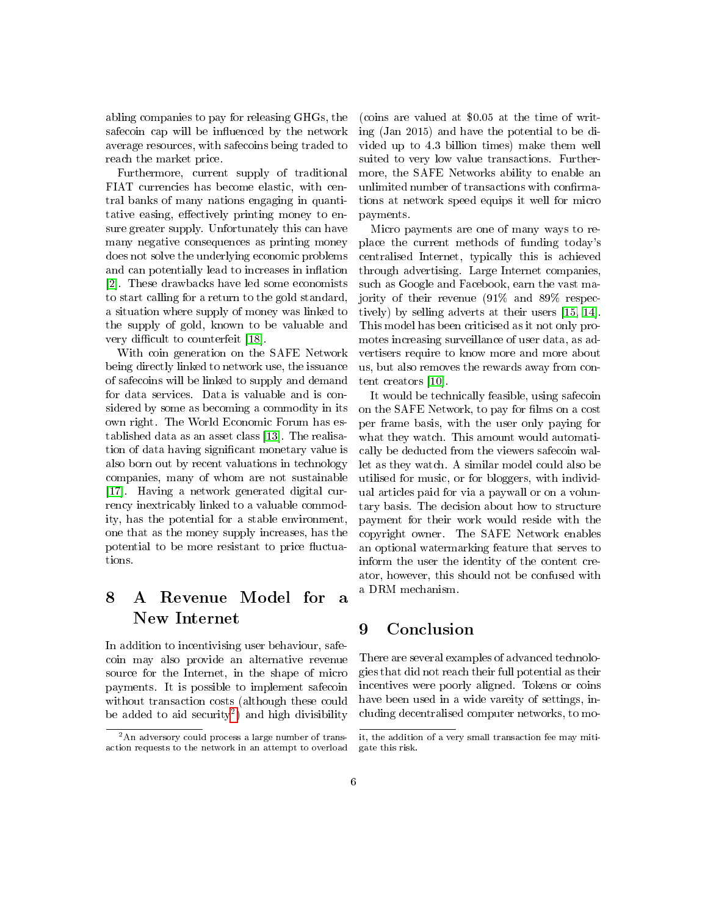abling companies to pay for releasing GHGs, the safecoin cap will be influenced by the network average resources, with safecoins being traded to reach the market price.

Furthermore, current supply of traditional FIAT currencies has become elastic, with central banks of many nations engaging in quantitative easing, effectively printing money to ensure greater supply. Unfortunately this can have many negative consequences as printing money does not solve the underlying economic problems and can potentially lead to increases in inflation [\[2\]](#page-6-10). These drawbacks have led some economists to start calling for a return to the gold standard, a situation where supply of money was linked to the supply of gold, known to be valuable and very difficult to counterfeit [\[18\]](#page-7-1).

With coin generation on the SAFE Network being directly linked to network use, the issuance of safecoins will be linked to supply and demand for data services. Data is valuable and is considered by some as becoming a commodity in its own right. The World Economic Forum has established data as an asset class [\[13\]](#page-6-11). The realisation of data having signicant monetary value is also born out by recent valuations in technology companies, many of whom are not sustainable [\[17\]](#page-7-2). Having a network generated digital currency inextricably linked to a valuable commodity, has the potential for a stable environment, one that as the money supply increases, has the potential to be more resistant to price fluctuations.

# 8 A Revenue Model for a New Internet

In addition to incentivising user behaviour, safecoin may also provide an alternative revenue source for the Internet, in the shape of micro payments. It is possible to implement safecoin without transaction costs (although these could be added to aid security<sup>[2](#page-5-0)</sup>) and high divisibility

(coins are valued at \$0.05 at the time of writing (Jan 2015) and have the potential to be divided up to 4.3 billion times) make them well suited to very low value transactions. Furthermore, the SAFE Networks ability to enable an unlimited number of transactions with confirmations at network speed equips it well for micro payments.

Micro payments are one of many ways to replace the current methods of funding today's centralised Internet, typically this is achieved through advertising. Large Internet companies, such as Google and Facebook, earn the vast majority of their revenue (91% and 89% respectively) by selling adverts at their users [\[15,](#page-6-12) [14\]](#page-6-13). This model has been criticised as it not only promotes increasing surveillance of user data, as advertisers require to know more and more about us, but also removes the rewards away from content creators [\[10\]](#page-6-14).

It would be technically feasible, using safecoin on the SAFE Network, to pay for films on a cost per frame basis, with the user only paying for what they watch. This amount would automatically be deducted from the viewers safecoin wallet as they watch. A similar model could also be utilised for music, or for bloggers, with individual articles paid for via a paywall or on a voluntary basis. The decision about how to structure payment for their work would reside with the copyright owner. The SAFE Network enables an optional watermarking feature that serves to inform the user the identity of the content creator, however, this should not be confused with a DRM mechanism.

## 9 Conclusion

There are several examples of advanced technologies that did not reach their full potential as their incentives were poorly aligned. Tokens or coins have been used in a wide vareity of settings, including decentralised computer networks, to mo-

<span id="page-5-0"></span> $2$ An adversory could process a large number of transaction requests to the network in an attempt to overload

it, the addition of a very small transaction fee may mitigate this risk.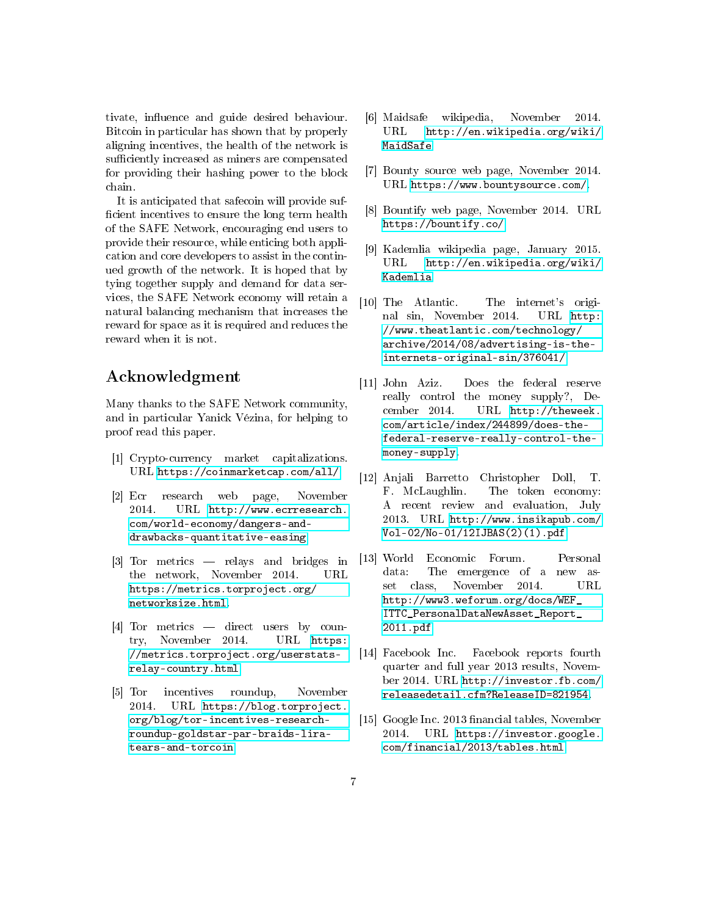tivate, influence and guide desired behaviour. Bitcoin in particular has shown that by properly aligning incentives, the health of the network is sufficiently increased as miners are compensated for providing their hashing power to the block chain.

It is anticipated that safecoin will provide suf ficient incentives to ensure the long term health of the SAFE Network, encouraging end users to provide their resource, while enticing both application and core developers to assist in the continued growth of the network. It is hoped that by tying together supply and demand for data services, the SAFE Network economy will retain a natural balancing mechanism that increases the reward for space as it is required and reduces the reward when it is not.

## Acknowledgment

Many thanks to the SAFE Network community, and in particular Yanick Vézina, for helping to proof read this paper.

- <span id="page-6-1"></span>[1] Crypto-currency market capitalizations. URL [https://coinmarketcap.com/all/.](https://coinmarketcap.com/all/)
- <span id="page-6-10"></span>[2] Ecr research web page, November 2014. URL [http://www.ecrresearch.](http://www.ecrresearch.com/world-economy/dangers-and-drawbacks-quantitative-easing) [com/world-economy/dangers-and](http://www.ecrresearch.com/world-economy/dangers-and-drawbacks-quantitative-easing)[drawbacks-quantitative-easing.](http://www.ecrresearch.com/world-economy/dangers-and-drawbacks-quantitative-easing)
- <span id="page-6-2"></span>[3] Tor metrics  $-$  relays and bridges in the network, November 2014. URL [https://metrics.torproject.org/](https://metrics.torproject.org/networksize.html) [networksize.html.](https://metrics.torproject.org/networksize.html)
- <span id="page-6-3"></span>[4] Tor metrics — direct users by country, November 2014. URL [https:](https://metrics.torproject.org/userstats-relay-country.html) [//metrics.torproject.org/userstats](https://metrics.torproject.org/userstats-relay-country.html)[relay-country.html.](https://metrics.torproject.org/userstats-relay-country.html)
- <span id="page-6-4"></span>[5] Tor incentives roundup, November 2014. URL [https://blog.torproject.](https://blog.torproject.org/blog/tor-incentives-research-roundup-goldstar-par-braids-lira-tears-and-torcoin) [org/blog/tor-incentives-research](https://blog.torproject.org/blog/tor-incentives-research-roundup-goldstar-par-braids-lira-tears-and-torcoin)[roundup-goldstar-par-braids-lira](https://blog.torproject.org/blog/tor-incentives-research-roundup-goldstar-par-braids-lira-tears-and-torcoin)[tears-and-torcoin.](https://blog.torproject.org/blog/tor-incentives-research-roundup-goldstar-par-braids-lira-tears-and-torcoin)
- <span id="page-6-5"></span>[6] Maidsafe wikipedia, November 2014. URL [http://en.wikipedia.org/wiki/](http://en.wikipedia.org/wiki/MaidSafe) [MaidSafe.](http://en.wikipedia.org/wiki/MaidSafe)
- <span id="page-6-6"></span>[7] Bounty source web page, November 2014. URL [https://www.bountysource.com/.](https://www.bountysource.com/)
- <span id="page-6-7"></span>[8] Bountify web page, November 2014. URL [https://bountify.co/.](https://bountify.co/)
- <span id="page-6-8"></span>[9] Kademlia wikipedia page, January 2015. URL [http://en.wikipedia.org/wiki/](http://en.wikipedia.org/wiki/Kademlia) [Kademlia.](http://en.wikipedia.org/wiki/Kademlia)
- <span id="page-6-14"></span>[10] The Atlantic. The internet's original sin, November 2014. URL [http:](http://www.theatlantic.com/technology/archive/2014/08/advertising-is-the-internets-original-sin/376041/) [//www.theatlantic.com/technology/](http://www.theatlantic.com/technology/archive/2014/08/advertising-is-the-internets-original-sin/376041/) [archive/2014/08/advertising-is-the](http://www.theatlantic.com/technology/archive/2014/08/advertising-is-the-internets-original-sin/376041/)[internets-original-sin/376041/.](http://www.theatlantic.com/technology/archive/2014/08/advertising-is-the-internets-original-sin/376041/)
- <span id="page-6-9"></span>[11] John Aziz. Does the federal reserve really control the money supply?, December 2014. URL [http://theweek.](http://theweek.com/article/index/244899/does-the-federal-reserve-really-control-the-money-supply) [com/article/index/244899/does-the](http://theweek.com/article/index/244899/does-the-federal-reserve-really-control-the-money-supply)[federal-reserve-really-control-the](http://theweek.com/article/index/244899/does-the-federal-reserve-really-control-the-money-supply)[money-supply.](http://theweek.com/article/index/244899/does-the-federal-reserve-really-control-the-money-supply)
- <span id="page-6-0"></span>[12] Anjali Barretto Christopher Doll, T. F. McLaughlin. The token economy: A recent review and evaluation, July 2013. URL [http://www.insikapub.com/](http://www.insikapub.com/Vol-02/No-01/12IJBAS(2)(1).pdf) [Vol-02/No-01/12IJBAS\(2\)\(1\).pdf.](http://www.insikapub.com/Vol-02/No-01/12IJBAS(2)(1).pdf)
- <span id="page-6-11"></span>[13] World Economic Forum. Personal data: The emergence of a new asset class, November 2014. URL [http://www3.weforum.org/docs/WEF\\_](http://www3.weforum.org/docs/WEF_ITTC_PersonalDataNewAsset_Report_2011.pdf) [ITTC\\_PersonalDataNewAsset\\_Report\\_](http://www3.weforum.org/docs/WEF_ITTC_PersonalDataNewAsset_Report_2011.pdf) [2011.pdf.](http://www3.weforum.org/docs/WEF_ITTC_PersonalDataNewAsset_Report_2011.pdf)
- <span id="page-6-13"></span>[14] Facebook Inc. Facebook reports fourth quarter and full year 2013 results, November 2014. URL [http://investor.fb.com/](http://investor.fb.com/releasedetail.cfm?ReleaseID=821954) [releasedetail.cfm?ReleaseID=821954.](http://investor.fb.com/releasedetail.cfm?ReleaseID=821954)
- <span id="page-6-12"></span>[15] Google Inc. 2013 financial tables, November 2014. URL [https://investor.google.](https://investor.google.com/financial/2013/tables.html) [com/financial/2013/tables.html.](https://investor.google.com/financial/2013/tables.html)